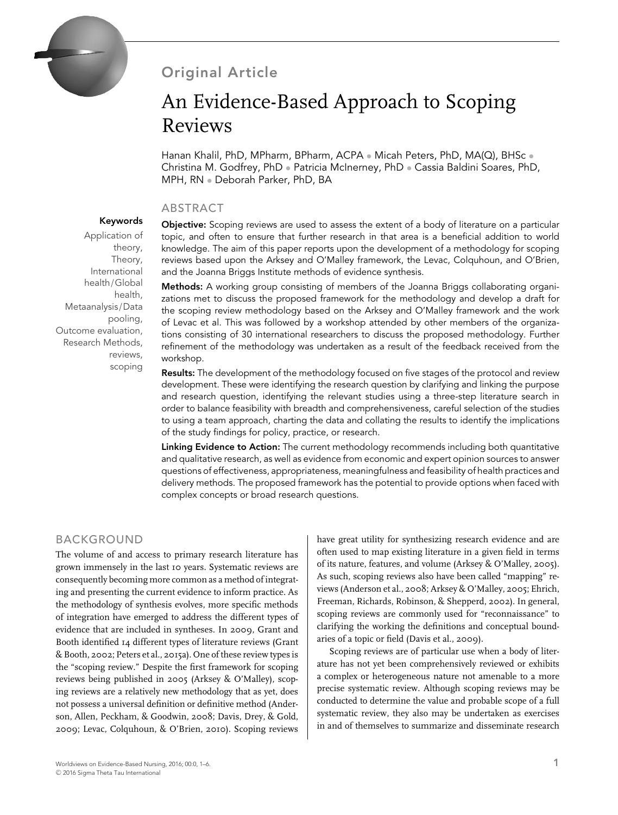

# Original Article

# An Evidence-Based Approach to Scoping Reviews

Hanan Khalil, PhD, MPharm, BPharm, ACPA • Micah Peters, PhD, MA(Q), BHSc • Christina M. Godfrey, PhD • Patricia McInerney, PhD • Cassia Baldini Soares, PhD, MPH, RN • Deborah Parker, PhD, BA

#### ABSTRACT

Keywords

Application of theory, Theory, International health/Global health, Metaanalysis/Data pooling, Outcome evaluation, Research Methods, reviews, scoping

Objective: Scoping reviews are used to assess the extent of a body of literature on a particular topic, and often to ensure that further research in that area is a beneficial addition to world knowledge. The aim of this paper reports upon the development of a methodology for scoping reviews based upon the Arksey and O'Malley framework, the Levac, Colquhoun, and O'Brien, and the Joanna Briggs Institute methods of evidence synthesis.

Methods: A working group consisting of members of the Joanna Briggs collaborating organizations met to discuss the proposed framework for the methodology and develop a draft for the scoping review methodology based on the Arksey and O'Malley framework and the work of Levac et al. This was followed by a workshop attended by other members of the organizations consisting of 30 international researchers to discuss the proposed methodology. Further refinement of the methodology was undertaken as a result of the feedback received from the workshop.

Results: The development of the methodology focused on five stages of the protocol and review development. These were identifying the research question by clarifying and linking the purpose and research question, identifying the relevant studies using a three-step literature search in order to balance feasibility with breadth and comprehensiveness, careful selection of the studies to using a team approach, charting the data and collating the results to identify the implications of the study findings for policy, practice, or research.

Linking Evidence to Action: The current methodology recommends including both quantitative and qualitative research, as well as evidence from economic and expert opinion sources to answer questions of effectiveness, appropriateness, meaningfulness and feasibility of health practices and delivery methods. The proposed framework has the potential to provide options when faced with complex concepts or broad research questions.

# BACKGROUND

The volume of and access to primary research literature has grown immensely in the last 10 years. Systematic reviews are consequently becoming more common as a method of integrating and presenting the current evidence to inform practice. As the methodology of synthesis evolves, more specific methods of integration have emerged to address the different types of evidence that are included in syntheses. In 2009, Grant and Booth identified 14 different types of literature reviews (Grant & Booth, 2002; Peters et al., 2015a). One of these review types is the "scoping review." Despite the first framework for scoping reviews being published in 2005 (Arksey & O'Malley), scoping reviews are a relatively new methodology that as yet, does not possess a universal definition or definitive method (Anderson, Allen, Peckham, & Goodwin, 2008; Davis, Drey, & Gold, 2009; Levac, Colquhoun, & O'Brien, 2010). Scoping reviews

have great utility for synthesizing research evidence and are often used to map existing literature in a given field in terms of its nature, features, and volume (Arksey & O'Malley, 2005). As such, scoping reviews also have been called "mapping" reviews (Anderson et al., 2008; Arksey & O'Malley, 2005; Ehrich, Freeman, Richards, Robinson, & Shepperd, 2002). In general, scoping reviews are commonly used for "reconnaissance" to clarifying the working the definitions and conceptual boundaries of a topic or field (Davis et al., 2009).

Scoping reviews are of particular use when a body of literature has not yet been comprehensively reviewed or exhibits a complex or heterogeneous nature not amenable to a more precise systematic review. Although scoping reviews may be conducted to determine the value and probable scope of a full systematic review, they also may be undertaken as exercises in and of themselves to summarize and disseminate research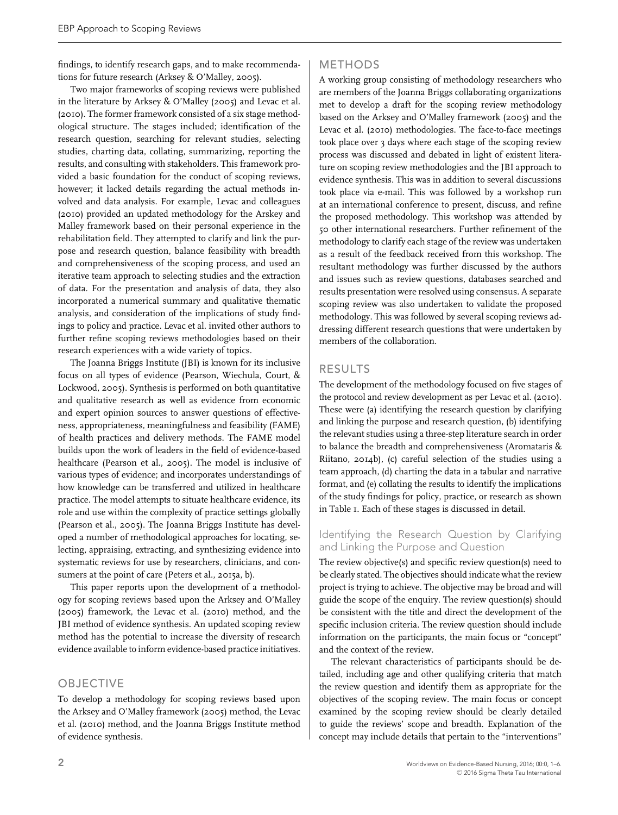findings, to identify research gaps, and to make recommendations for future research (Arksey & O'Malley, 2005).

Two major frameworks of scoping reviews were published in the literature by Arksey & O'Malley (2005) and Levac et al. (2010). The former framework consisted of a six stage methodological structure. The stages included; identification of the research question, searching for relevant studies, selecting studies, charting data, collating, summarizing, reporting the results, and consulting with stakeholders. This framework provided a basic foundation for the conduct of scoping reviews, however; it lacked details regarding the actual methods involved and data analysis. For example, Levac and colleagues (2010) provided an updated methodology for the Arskey and Malley framework based on their personal experience in the rehabilitation field. They attempted to clarify and link the purpose and research question, balance feasibility with breadth and comprehensiveness of the scoping process, and used an iterative team approach to selecting studies and the extraction of data. For the presentation and analysis of data, they also incorporated a numerical summary and qualitative thematic analysis, and consideration of the implications of study findings to policy and practice. Levac et al. invited other authors to further refine scoping reviews methodologies based on their research experiences with a wide variety of topics.

The Joanna Briggs Institute (JBI) is known for its inclusive focus on all types of evidence (Pearson, Wiechula, Court, & Lockwood, 2005). Synthesis is performed on both quantitative and qualitative research as well as evidence from economic and expert opinion sources to answer questions of effectiveness, appropriateness, meaningfulness and feasibility (FAME) of health practices and delivery methods. The FAME model builds upon the work of leaders in the field of evidence-based healthcare (Pearson et al., 2005). The model is inclusive of various types of evidence; and incorporates understandings of how knowledge can be transferred and utilized in healthcare practice. The model attempts to situate healthcare evidence, its role and use within the complexity of practice settings globally (Pearson et al., 2005). The Joanna Briggs Institute has developed a number of methodological approaches for locating, selecting, appraising, extracting, and synthesizing evidence into systematic reviews for use by researchers, clinicians, and consumers at the point of care (Peters et al., 2015a, b).

This paper reports upon the development of a methodology for scoping reviews based upon the Arksey and O'Malley (2005) framework, the Levac et al. (2010) method, and the JBI method of evidence synthesis. An updated scoping review method has the potential to increase the diversity of research evidence available to inform evidence-based practice initiatives.

### **OBJECTIVE**

To develop a methodology for scoping reviews based upon the Arksey and O'Malley framework (2005) method, the Levac et al. (2010) method, and the Joanna Briggs Institute method of evidence synthesis.

#### METHODS

A working group consisting of methodology researchers who are members of the Joanna Briggs collaborating organizations met to develop a draft for the scoping review methodology based on the Arksey and O'Malley framework (2005) and the Levac et al. (2010) methodologies. The face-to-face meetings took place over 3 days where each stage of the scoping review process was discussed and debated in light of existent literature on scoping review methodologies and the JBI approach to evidence synthesis. This was in addition to several discussions took place via e-mail. This was followed by a workshop run at an international conference to present, discuss, and refine the proposed methodology. This workshop was attended by 50 other international researchers. Further refinement of the methodology to clarify each stage of the review was undertaken as a result of the feedback received from this workshop. The resultant methodology was further discussed by the authors and issues such as review questions, databases searched and results presentation were resolved using consensus. A separate scoping review was also undertaken to validate the proposed methodology. This was followed by several scoping reviews addressing different research questions that were undertaken by members of the collaboration.

### RESULTS

The development of the methodology focused on five stages of the protocol and review development as per Levac et al. (2010). These were (a) identifying the research question by clarifying and linking the purpose and research question, (b) identifying the relevant studies using a three-step literature search in order to balance the breadth and comprehensiveness (Aromataris & Riitano, 2014b), (c) careful selection of the studies using a team approach, (d) charting the data in a tabular and narrative format, and (e) collating the results to identify the implications of the study findings for policy, practice, or research as shown in Table 1. Each of these stages is discussed in detail.

#### Identifying the Research Question by Clarifying and Linking the Purpose and Question

The review objective(s) and specific review question(s) need to be clearly stated. The objectives should indicate what the review project is trying to achieve. The objective may be broad and will guide the scope of the enquiry. The review question(s) should be consistent with the title and direct the development of the specific inclusion criteria. The review question should include information on the participants, the main focus or "concept" and the context of the review.

The relevant characteristics of participants should be detailed, including age and other qualifying criteria that match the review question and identify them as appropriate for the objectives of the scoping review. The main focus or concept examined by the scoping review should be clearly detailed to guide the reviews' scope and breadth. Explanation of the concept may include details that pertain to the "interventions"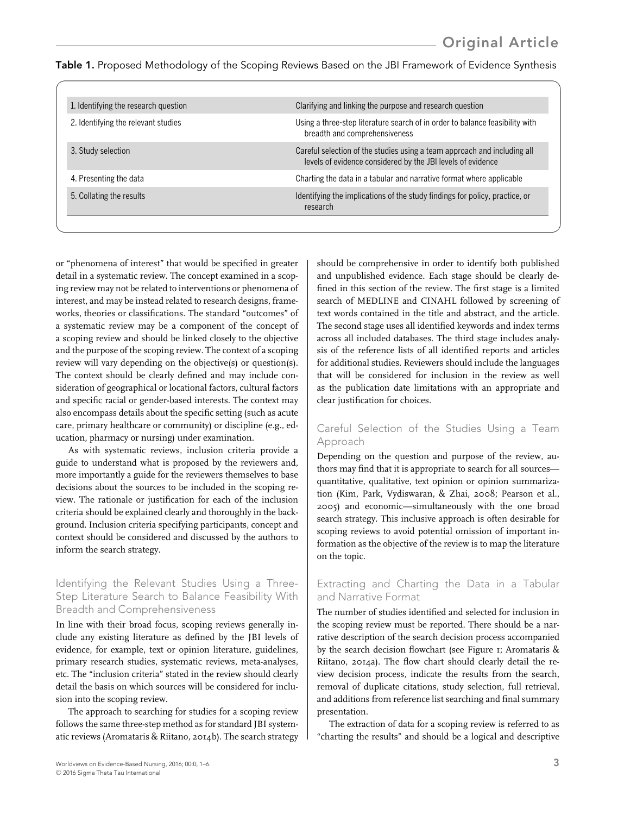Table 1. Proposed Methodology of the Scoping Reviews Based on the JBI Framework of Evidence Synthesis

| 1. Identifying the research question | Clarifying and linking the purpose and research question                                                                                |
|--------------------------------------|-----------------------------------------------------------------------------------------------------------------------------------------|
| 2. Identifying the relevant studies  | Using a three-step literature search of in order to balance feasibility with<br>breadth and comprehensiveness                           |
| 3. Study selection                   | Careful selection of the studies using a team approach and including all<br>levels of evidence considered by the JBI levels of evidence |
| 4. Presenting the data               | Charting the data in a tabular and narrative format where applicable                                                                    |
| 5. Collating the results             | Identifying the implications of the study findings for policy, practice, or<br>research                                                 |

or "phenomena of interest" that would be specified in greater detail in a systematic review. The concept examined in a scoping review may not be related to interventions or phenomena of interest, and may be instead related to research designs, frameworks, theories or classifications. The standard "outcomes" of a systematic review may be a component of the concept of a scoping review and should be linked closely to the objective and the purpose of the scoping review. The context of a scoping review will vary depending on the objective(s) or question(s). The context should be clearly defined and may include consideration of geographical or locational factors, cultural factors and specific racial or gender-based interests. The context may also encompass details about the specific setting (such as acute care, primary healthcare or community) or discipline (e.g., education, pharmacy or nursing) under examination.

As with systematic reviews, inclusion criteria provide a guide to understand what is proposed by the reviewers and, more importantly a guide for the reviewers themselves to base decisions about the sources to be included in the scoping review. The rationale or justification for each of the inclusion criteria should be explained clearly and thoroughly in the background. Inclusion criteria specifying participants, concept and context should be considered and discussed by the authors to inform the search strategy.

#### Identifying the Relevant Studies Using a Three-Step Literature Search to Balance Feasibility With Breadth and Comprehensiveness

In line with their broad focus, scoping reviews generally include any existing literature as defined by the JBI levels of evidence, for example, text or opinion literature, guidelines, primary research studies, systematic reviews, meta-analyses, etc. The "inclusion criteria" stated in the review should clearly detail the basis on which sources will be considered for inclusion into the scoping review.

The approach to searching for studies for a scoping review follows the same three-step method as for standard JBI systematic reviews (Aromataris & Riitano, 2014b). The search strategy should be comprehensive in order to identify both published and unpublished evidence. Each stage should be clearly defined in this section of the review. The first stage is a limited search of MEDLINE and CINAHL followed by screening of text words contained in the title and abstract, and the article. The second stage uses all identified keywords and index terms across all included databases. The third stage includes analysis of the reference lists of all identified reports and articles for additional studies. Reviewers should include the languages that will be considered for inclusion in the review as well as the publication date limitations with an appropriate and clear justification for choices.

### Careful Selection of the Studies Using a Team Approach

Depending on the question and purpose of the review, authors may find that it is appropriate to search for all sources quantitative, qualitative, text opinion or opinion summarization (Kim, Park, Vydiswaran, & Zhai, 2008; Pearson et al., 2005) and economic—simultaneously with the one broad search strategy. This inclusive approach is often desirable for scoping reviews to avoid potential omission of important information as the objective of the review is to map the literature on the topic.

### Extracting and Charting the Data in a Tabular and Narrative Format

The number of studies identified and selected for inclusion in the scoping review must be reported. There should be a narrative description of the search decision process accompanied by the search decision flowchart (see Figure 1; Aromataris & Riitano, 2014a). The flow chart should clearly detail the review decision process, indicate the results from the search, removal of duplicate citations, study selection, full retrieval, and additions from reference list searching and final summary presentation.

The extraction of data for a scoping review is referred to as "charting the results" and should be a logical and descriptive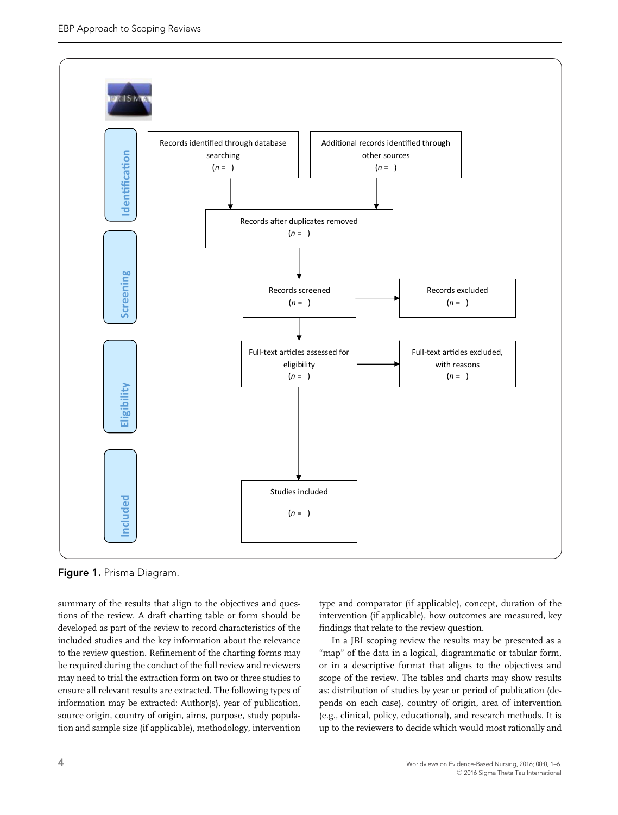

Figure 1. Prisma Diagram.

summary of the results that align to the objectives and questions of the review. A draft charting table or form should be developed as part of the review to record characteristics of the included studies and the key information about the relevance to the review question. Refinement of the charting forms may be required during the conduct of the full review and reviewers may need to trial the extraction form on two or three studies to ensure all relevant results are extracted. The following types of information may be extracted: Author(s), year of publication, source origin, country of origin, aims, purpose, study population and sample size (if applicable), methodology, intervention

type and comparator (if applicable), concept, duration of the intervention (if applicable), how outcomes are measured, key findings that relate to the review question.

In a JBI scoping review the results may be presented as a "map" of the data in a logical, diagrammatic or tabular form, or in a descriptive format that aligns to the objectives and scope of the review. The tables and charts may show results as: distribution of studies by year or period of publication (depends on each case), country of origin, area of intervention (e.g., clinical, policy, educational), and research methods. It is up to the reviewers to decide which would most rationally and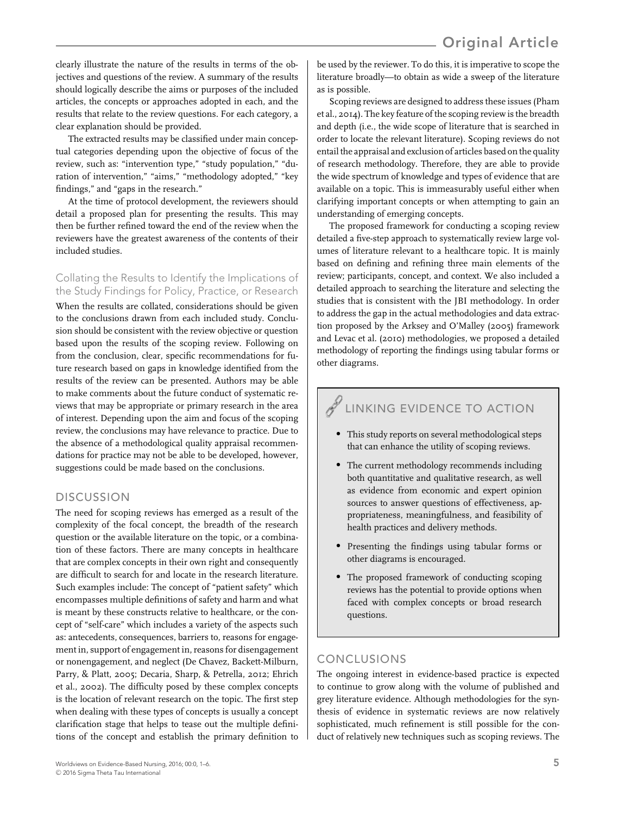# Original Article

clearly illustrate the nature of the results in terms of the objectives and questions of the review. A summary of the results should logically describe the aims or purposes of the included articles, the concepts or approaches adopted in each, and the results that relate to the review questions. For each category, a clear explanation should be provided.

The extracted results may be classified under main conceptual categories depending upon the objective of focus of the review, such as: "intervention type," "study population," "duration of intervention," "aims," "methodology adopted," "key findings," and "gaps in the research."

At the time of protocol development, the reviewers should detail a proposed plan for presenting the results. This may then be further refined toward the end of the review when the reviewers have the greatest awareness of the contents of their included studies.

## Collating the Results to Identify the Implications of the Study Findings for Policy, Practice, or Research

When the results are collated, considerations should be given to the conclusions drawn from each included study. Conclusion should be consistent with the review objective or question based upon the results of the scoping review. Following on from the conclusion, clear, specific recommendations for future research based on gaps in knowledge identified from the results of the review can be presented. Authors may be able to make comments about the future conduct of systematic reviews that may be appropriate or primary research in the area of interest. Depending upon the aim and focus of the scoping review, the conclusions may have relevance to practice. Due to the absence of a methodological quality appraisal recommendations for practice may not be able to be developed, however, suggestions could be made based on the conclusions.

## **DISCUSSION**

The need for scoping reviews has emerged as a result of the complexity of the focal concept, the breadth of the research question or the available literature on the topic, or a combination of these factors. There are many concepts in healthcare that are complex concepts in their own right and consequently are difficult to search for and locate in the research literature. Such examples include: The concept of "patient safety" which encompasses multiple definitions of safety and harm and what is meant by these constructs relative to healthcare, or the concept of "self-care" which includes a variety of the aspects such as: antecedents, consequences, barriers to, reasons for engagement in, support of engagement in, reasons for disengagement or nonengagement, and neglect (De Chavez, Backett-Milburn, Parry, & Platt, 2005; Decaria, Sharp, & Petrella, 2012; Ehrich et al., 2002). The difficulty posed by these complex concepts is the location of relevant research on the topic. The first step when dealing with these types of concepts is usually a concept clarification stage that helps to tease out the multiple definitions of the concept and establish the primary definition to

be used by the reviewer. To do this, it is imperative to scope the literature broadly—to obtain as wide a sweep of the literature as is possible.

Scoping reviews are designed to address these issues (Pham et al., 2014). The key feature of the scoping review is the breadth and depth (i.e., the wide scope of literature that is searched in order to locate the relevant literature). Scoping reviews do not entail the appraisal and exclusion of articles based on the quality of research methodology. Therefore, they are able to provide the wide spectrum of knowledge and types of evidence that are available on a topic. This is immeasurably useful either when clarifying important concepts or when attempting to gain an understanding of emerging concepts.

The proposed framework for conducting a scoping review detailed a five-step approach to systematically review large volumes of literature relevant to a healthcare topic. It is mainly based on defining and refining three main elements of the review; participants, concept, and context. We also included a detailed approach to searching the literature and selecting the studies that is consistent with the JBI methodology. In order to address the gap in the actual methodologies and data extraction proposed by the Arksey and O'Malley (2005) framework and Levac et al. (2010) methodologies, we proposed a detailed methodology of reporting the findings using tabular forms or other diagrams.

# LINKING EVIDENCE TO ACTION

- This study reports on several methodological steps that can enhance the utility of scoping reviews.
- The current methodology recommends including both quantitative and qualitative research, as well as evidence from economic and expert opinion sources to answer questions of effectiveness, appropriateness, meaningfulness, and feasibility of health practices and delivery methods.
- Presenting the findings using tabular forms or other diagrams is encouraged.
- The proposed framework of conducting scoping reviews has the potential to provide options when faced with complex concepts or broad research questions.

# CONCLUSIONS

The ongoing interest in evidence-based practice is expected to continue to grow along with the volume of published and grey literature evidence. Although methodologies for the synthesis of evidence in systematic reviews are now relatively sophisticated, much refinement is still possible for the conduct of relatively new techniques such as scoping reviews. The